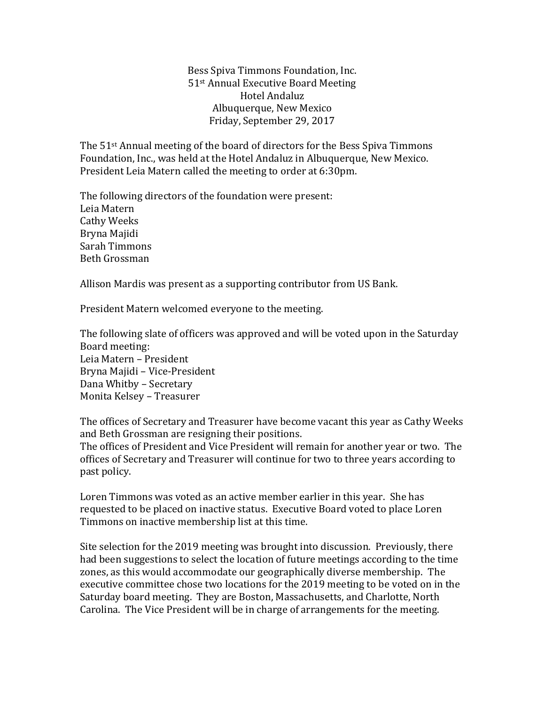Bess Spiva Timmons Foundation, Inc. 51st Annual Executive Board Meeting Hotel Andaluz Albuquerque, New Mexico Friday, September 29, 2017

The 51st Annual meeting of the board of directors for the Bess Spiva Timmons Foundation, Inc., was held at the Hotel Andaluz in Albuquerque, New Mexico. President Leia Matern called the meeting to order at 6:30pm.

The following directors of the foundation were present: Leia Matern Cathy Weeks Bryna Majidi Sarah Timmons Beth Grossman

Allison Mardis was present as a supporting contributor from US Bank.

President Matern welcomed everyone to the meeting.

The following slate of officers was approved and will be voted upon in the Saturday Board meeting: Leia Matern – President Bryna Majidi – Vice-President Dana Whitby – Secretary Monita Kelsey – Treasurer

The offices of Secretary and Treasurer have become vacant this year as Cathy Weeks and Beth Grossman are resigning their positions.

The offices of President and Vice President will remain for another year or two. The offices of Secretary and Treasurer will continue for two to three years according to past policy.

Loren Timmons was voted as an active member earlier in this year. She has requested to be placed on inactive status. Executive Board voted to place Loren Timmons on inactive membership list at this time.

Site selection for the 2019 meeting was brought into discussion. Previously, there had been suggestions to select the location of future meetings according to the time zones, as this would accommodate our geographically diverse membership. The executive committee chose two locations for the 2019 meeting to be voted on in the Saturday board meeting. They are Boston, Massachusetts, and Charlotte, North Carolina. The Vice President will be in charge of arrangements for the meeting.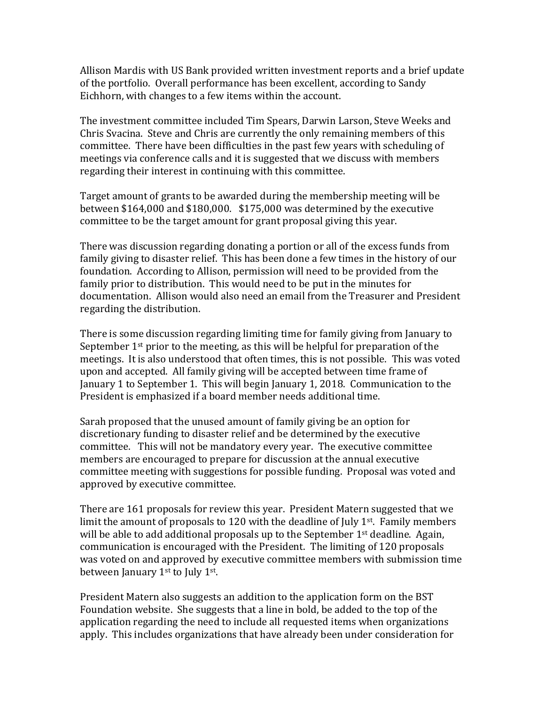Allison Mardis with US Bank provided written investment reports and a brief update of the portfolio. Overall performance has been excellent, according to Sandy Eichhorn, with changes to a few items within the account.

The investment committee included Tim Spears, Darwin Larson, Steve Weeks and Chris Svacina. Steve and Chris are currently the only remaining members of this committee. There have been difficulties in the past few years with scheduling of meetings via conference calls and it is suggested that we discuss with members regarding their interest in continuing with this committee.

Target amount of grants to be awarded during the membership meeting will be between \$164,000 and \$180,000. \$175,000 was determined by the executive committee to be the target amount for grant proposal giving this year.

There was discussion regarding donating a portion or all of the excess funds from family giving to disaster relief. This has been done a few times in the history of our foundation. According to Allison, permission will need to be provided from the family prior to distribution. This would need to be put in the minutes for documentation. Allison would also need an email from the Treasurer and President regarding the distribution.

There is some discussion regarding limiting time for family giving from January to September  $1<sup>st</sup>$  prior to the meeting, as this will be helpful for preparation of the meetings. It is also understood that often times, this is not possible. This was voted upon and accepted. All family giving will be accepted between time frame of January 1 to September 1. This will begin January 1, 2018. Communication to the President is emphasized if a board member needs additional time.

Sarah proposed that the unused amount of family giving be an option for discretionary funding to disaster relief and be determined by the executive committee. This will not be mandatory every year. The executive committee members are encouraged to prepare for discussion at the annual executive committee meeting with suggestions for possible funding. Proposal was voted and approved by executive committee.

There are 161 proposals for review this year. President Matern suggested that we limit the amount of proposals to 120 with the deadline of July  $1<sup>st</sup>$ . Family members will be able to add additional proposals up to the September  $1<sup>st</sup>$  deadline. Again, communication is encouraged with the President. The limiting of 120 proposals was voted on and approved by executive committee members with submission time between January 1<sup>st</sup> to July 1<sup>st</sup>.

President Matern also suggests an addition to the application form on the BST Foundation website. She suggests that a line in bold, be added to the top of the application regarding the need to include all requested items when organizations apply. This includes organizations that have already been under consideration for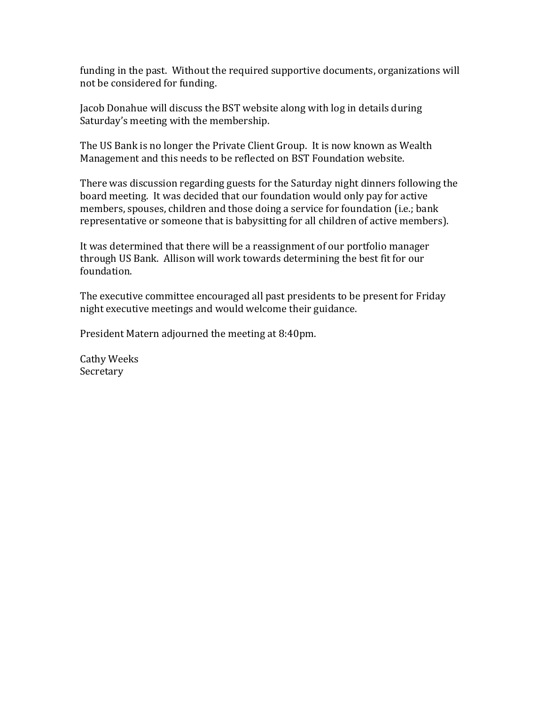funding in the past. Without the required supportive documents, organizations will not be considered for funding.

Jacob Donahue will discuss the BST website along with log in details during Saturday's meeting with the membership.

The US Bank is no longer the Private Client Group. It is now known as Wealth Management and this needs to be reflected on BST Foundation website.

There was discussion regarding guests for the Saturday night dinners following the board meeting. It was decided that our foundation would only pay for active members, spouses, children and those doing a service for foundation (i.e.; bank representative or someone that is babysitting for all children of active members).

It was determined that there will be a reassignment of our portfolio manager through US Bank. Allison will work towards determining the best fit for our foundation.

The executive committee encouraged all past presidents to be present for Friday night executive meetings and would welcome their guidance.

President Matern adjourned the meeting at 8:40pm.

Cathy Weeks Secretary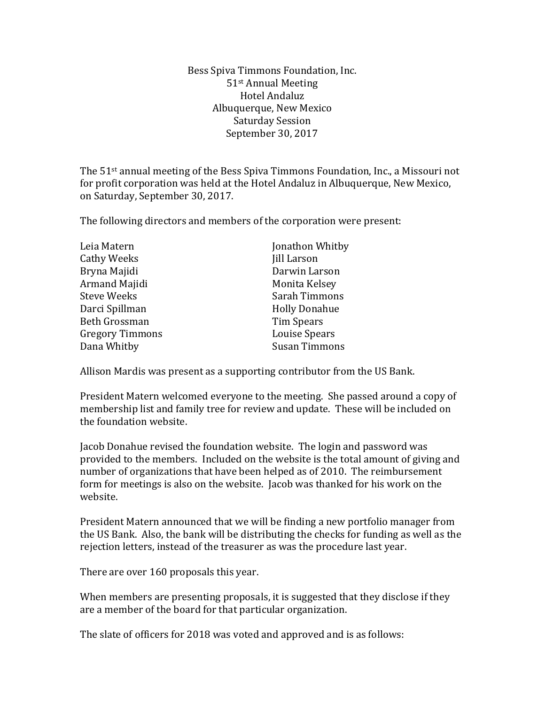Bess Spiva Timmons Foundation, Inc. 51st Annual Meeting Hotel Andaluz Albuquerque, New Mexico Saturday Session September 30, 2017

The 51st annual meeting of the Bess Spiva Timmons Foundation, Inc., a Missouri not for profit corporation was held at the Hotel Andaluz in Albuquerque, New Mexico, on Saturday, September 30, 2017.

The following directors and members of the corporation were present:

| Leia Matern            | Jonathon Whitby      |
|------------------------|----------------------|
| <b>Cathy Weeks</b>     | Jill Larson          |
| Bryna Majidi           | Darwin Larson        |
| Armand Majidi          | Monita Kelsey        |
| <b>Steve Weeks</b>     | Sarah Timmons        |
| Darci Spillman         | <b>Holly Donahue</b> |
| <b>Beth Grossman</b>   | <b>Tim Spears</b>    |
| <b>Gregory Timmons</b> | <b>Louise Spears</b> |
| Dana Whitby            | <b>Susan Timmons</b> |

Allison Mardis was present as a supporting contributor from the US Bank.

President Matern welcomed everyone to the meeting. She passed around a copy of membership list and family tree for review and update. These will be included on the foundation website.

Jacob Donahue revised the foundation website. The login and password was provided to the members. Included on the website is the total amount of giving and number of organizations that have been helped as of 2010. The reimbursement form for meetings is also on the website. Jacob was thanked for his work on the website.

President Matern announced that we will be finding a new portfolio manager from the US Bank. Also, the bank will be distributing the checks for funding as well as the rejection letters, instead of the treasurer as was the procedure last year.

There are over 160 proposals this year.

When members are presenting proposals, it is suggested that they disclose if they are a member of the board for that particular organization.

The slate of officers for 2018 was voted and approved and is as follows: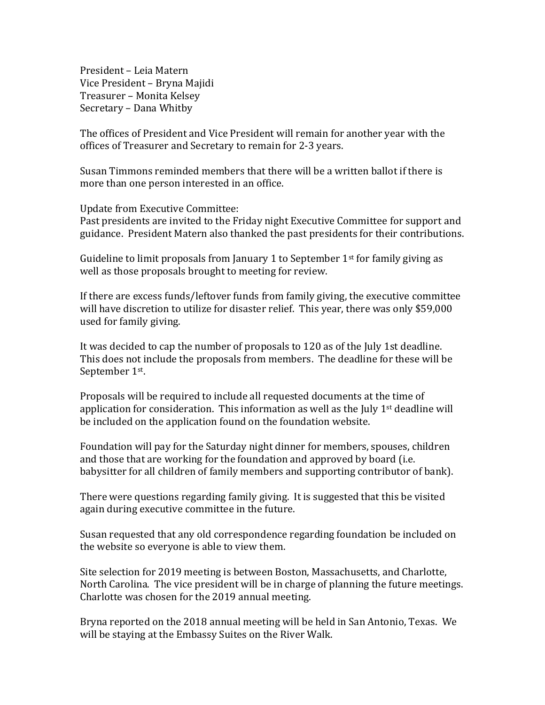President – Leia Matern Vice President – Bryna Majidi Treasurer – Monita Kelsey Secretary – Dana Whitby

The offices of President and Vice President will remain for another year with the offices of Treasurer and Secretary to remain for 2-3 years.

Susan Timmons reminded members that there will be a written ballot if there is more than one person interested in an office.

Update from Executive Committee:

Past presidents are invited to the Friday night Executive Committee for support and guidance. President Matern also thanked the past presidents for their contributions.

Guideline to limit proposals from January 1 to September  $1<sup>st</sup>$  for family giving as well as those proposals brought to meeting for review.

If there are excess funds/leftover funds from family giving, the executive committee will have discretion to utilize for disaster relief. This year, there was only \$59,000 used for family giving.

It was decided to cap the number of proposals to 120 as of the July 1st deadline. This does not include the proposals from members. The deadline for these will be September 1st.

Proposals will be required to include all requested documents at the time of application for consideration. This information as well as the July  $1<sup>st</sup>$  deadline will be included on the application found on the foundation website.

Foundation will pay for the Saturday night dinner for members, spouses, children and those that are working for the foundation and approved by board (i.e. babysitter for all children of family members and supporting contributor of bank).

There were questions regarding family giving. It is suggested that this be visited again during executive committee in the future.

Susan requested that any old correspondence regarding foundation be included on the website so everyone is able to view them.

Site selection for 2019 meeting is between Boston, Massachusetts, and Charlotte, North Carolina. The vice president will be in charge of planning the future meetings. Charlotte was chosen for the 2019 annual meeting.

Bryna reported on the 2018 annual meeting will be held in San Antonio, Texas. We will be staying at the Embassy Suites on the River Walk.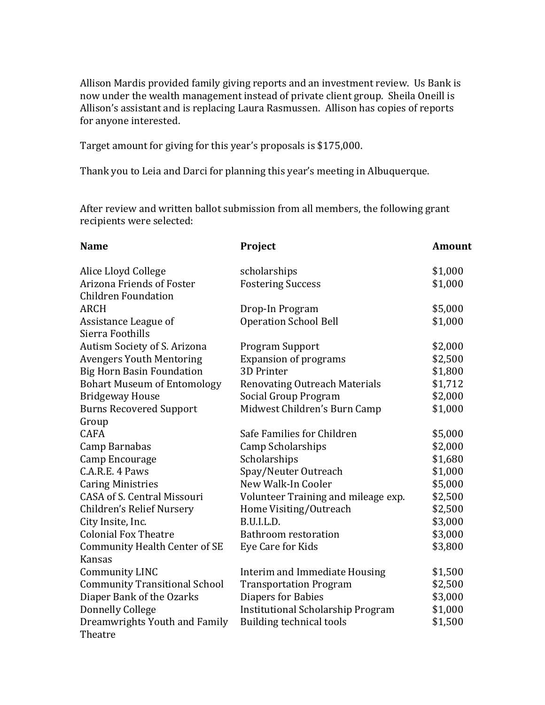Allison Mardis provided family giving reports and an investment review. Us Bank is now under the wealth management instead of private client group. Sheila Oneill is Allison's assistant and is replacing Laura Rasmussen. Allison has copies of reports for anyone interested.

Target amount for giving for this year's proposals is \$175,000.

Thank you to Leia and Darci for planning this year's meeting in Albuquerque.

After review and written ballot submission from all members, the following grant recipients were selected:

| <b>Name</b>                          | Project                                  | <b>Amount</b> |
|--------------------------------------|------------------------------------------|---------------|
| Alice Lloyd College                  | scholarships                             | \$1,000       |
| Arizona Friends of Foster            | <b>Fostering Success</b>                 | \$1,000       |
| <b>Children Foundation</b>           |                                          |               |
| <b>ARCH</b>                          | Drop-In Program                          | \$5,000       |
| Assistance League of                 | <b>Operation School Bell</b>             | \$1,000       |
| Sierra Foothills                     |                                          |               |
| Autism Society of S. Arizona         | <b>Program Support</b>                   | \$2,000       |
| <b>Avengers Youth Mentoring</b>      | <b>Expansion of programs</b>             | \$2,500       |
| <b>Big Horn Basin Foundation</b>     | <b>3D Printer</b>                        | \$1,800       |
| <b>Bohart Museum of Entomology</b>   | <b>Renovating Outreach Materials</b>     | \$1,712       |
| <b>Bridgeway House</b>               | Social Group Program                     | \$2,000       |
| <b>Burns Recovered Support</b>       | Midwest Children's Burn Camp             | \$1,000       |
| Group                                |                                          |               |
| <b>CAFA</b>                          | Safe Families for Children               | \$5,000       |
| Camp Barnabas                        | Camp Scholarships                        | \$2,000       |
| Camp Encourage                       | Scholarships                             | \$1,680       |
| C.A.R.E. 4 Paws                      | Spay/Neuter Outreach                     | \$1,000       |
| <b>Caring Ministries</b>             | New Walk-In Cooler                       | \$5,000       |
| <b>CASA of S. Central Missouri</b>   | Volunteer Training and mileage exp.      | \$2,500       |
| Children's Relief Nursery            | Home Visiting/Outreach                   | \$2,500       |
| City Insite, Inc.                    | B.U.I.L.D.                               | \$3,000       |
| <b>Colonial Fox Theatre</b>          | <b>Bathroom restoration</b>              | \$3,000       |
| <b>Community Health Center of SE</b> | Eye Care for Kids                        | \$3,800       |
| Kansas                               |                                          |               |
| <b>Community LINC</b>                | Interim and Immediate Housing            | \$1,500       |
| <b>Community Transitional School</b> | <b>Transportation Program</b>            | \$2,500       |
| Diaper Bank of the Ozarks            | Diapers for Babies                       | \$3,000       |
| <b>Donnelly College</b>              | <b>Institutional Scholarship Program</b> | \$1,000       |
| Dreamwrights Youth and Family        | <b>Building technical tools</b>          | \$1,500       |
| Theatre                              |                                          |               |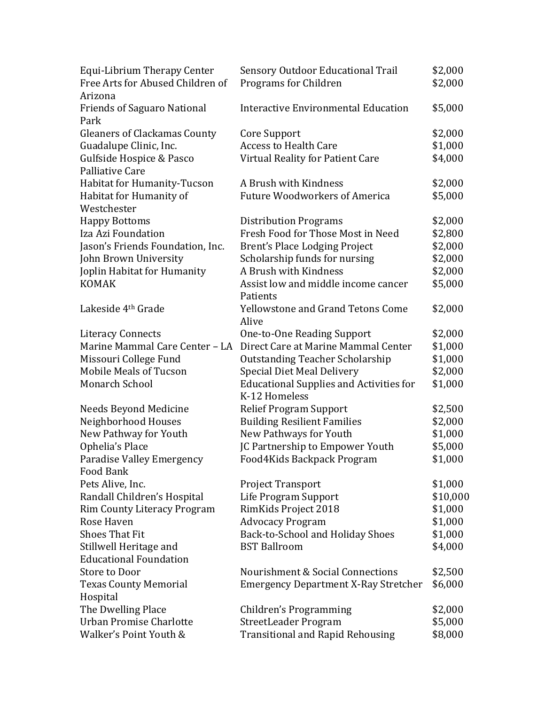| Equi-Librium Therapy Center         | <b>Sensory Outdoor Educational Trail</b>       | \$2,000  |
|-------------------------------------|------------------------------------------------|----------|
| Free Arts for Abused Children of    | Programs for Children                          | \$2,000  |
| Arizona                             |                                                |          |
| <b>Friends of Saguaro National</b>  | <b>Interactive Environmental Education</b>     | \$5,000  |
| Park                                |                                                |          |
| <b>Gleaners of Clackamas County</b> | Core Support                                   | \$2,000  |
| Guadalupe Clinic, Inc.              | <b>Access to Health Care</b>                   | \$1,000  |
| Gulfside Hospice & Pasco            | Virtual Reality for Patient Care               | \$4,000  |
| Palliative Care                     |                                                |          |
| Habitat for Humanity-Tucson         | A Brush with Kindness                          | \$2,000  |
| Habitat for Humanity of             | <b>Future Woodworkers of America</b>           | \$5,000  |
| Westchester                         |                                                |          |
| <b>Happy Bottoms</b>                | <b>Distribution Programs</b>                   | \$2,000  |
| Iza Azi Foundation                  | Fresh Food for Those Most in Need              | \$2,800  |
| Jason's Friends Foundation, Inc.    | Brent's Place Lodging Project                  | \$2,000  |
| John Brown University               | Scholarship funds for nursing                  | \$2,000  |
| Joplin Habitat for Humanity         | A Brush with Kindness                          | \$2,000  |
| <b>KOMAK</b>                        | Assist low and middle income cancer            | \$5,000  |
|                                     | Patients                                       |          |
| Lakeside 4 <sup>th</sup> Grade      | <b>Yellowstone and Grand Tetons Come</b>       | \$2,000  |
|                                     | Alive                                          |          |
| <b>Literacy Connects</b>            | One-to-One Reading Support                     | \$2,000  |
| Marine Mammal Care Center - LA      | Direct Care at Marine Mammal Center            | \$1,000  |
| Missouri College Fund               | <b>Outstanding Teacher Scholarship</b>         | \$1,000  |
| <b>Mobile Meals of Tucson</b>       | <b>Special Diet Meal Delivery</b>              | \$2,000  |
| Monarch School                      | <b>Educational Supplies and Activities for</b> | \$1,000  |
|                                     | K-12 Homeless                                  |          |
| Needs Beyond Medicine               | <b>Relief Program Support</b>                  | \$2,500  |
| Neighborhood Houses                 | <b>Building Resilient Families</b>             | \$2,000  |
| New Pathway for Youth               | New Pathways for Youth                         | \$1,000  |
| Ophelia's Place                     | JC Partnership to Empower Youth                | \$5,000  |
| Paradise Valley Emergency           | Food4Kids Backpack Program                     | \$1,000  |
| Food Bank                           |                                                |          |
| Pets Alive, Inc.                    | <b>Project Transport</b>                       | \$1,000  |
| Randall Children's Hospital         | Life Program Support                           | \$10,000 |
| <b>Rim County Literacy Program</b>  | RimKids Project 2018                           | \$1,000  |
| Rose Haven                          | <b>Advocacy Program</b>                        | \$1,000  |
| <b>Shoes That Fit</b>               | Back-to-School and Holiday Shoes               | \$1,000  |
| Stillwell Heritage and              | <b>BST Ballroom</b>                            | \$4,000  |
| <b>Educational Foundation</b>       |                                                |          |
| Store to Door                       | Nourishment & Social Connections               | \$2,500  |
| <b>Texas County Memorial</b>        | <b>Emergency Department X-Ray Stretcher</b>    | \$6,000  |
| Hospital                            |                                                |          |
| The Dwelling Place                  | Children's Programming                         | \$2,000  |
| Urban Promise Charlotte             | StreetLeader Program                           | \$5,000  |
| Walker's Point Youth &              | <b>Transitional and Rapid Rehousing</b>        | \$8,000  |
|                                     |                                                |          |